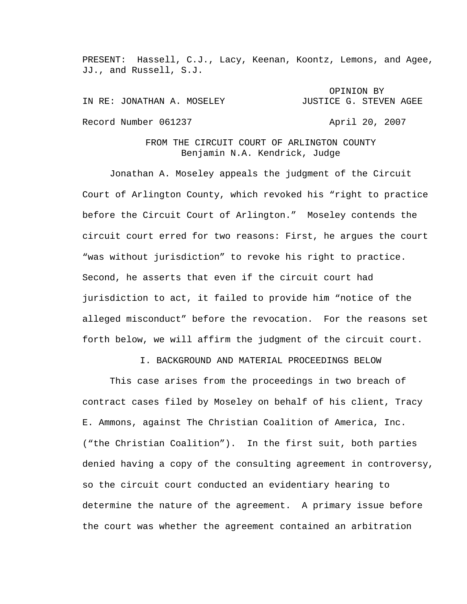PRESENT: Hassell, C.J., Lacy, Keenan, Koontz, Lemons, and Agee, JJ., and Russell, S.J.

OPINION BY IN RE: JONATHAN A. MOSELEY **Subset of STATE CONTACT AGET** Record Number 061237 April 20, 2007

## FROM THE CIRCUIT COURT OF ARLINGTON COUNTY Benjamin N.A. Kendrick, Judge

Jonathan A. Moseley appeals the judgment of the Circuit Court of Arlington County, which revoked his "right to practice before the Circuit Court of Arlington." Moseley contends the circuit court erred for two reasons: First, he argues the court "was without jurisdiction" to revoke his right to practice. Second, he asserts that even if the circuit court had jurisdiction to act, it failed to provide him "notice of the alleged misconduct" before the revocation. For the reasons set forth below, we will affirm the judgment of the circuit court.

I. BACKGROUND AND MATERIAL PROCEEDINGS BELOW

 This case arises from the proceedings in two breach of contract cases filed by Moseley on behalf of his client, Tracy E. Ammons, against The Christian Coalition of America, Inc. ("the Christian Coalition"). In the first suit, both parties denied having a copy of the consulting agreement in controversy, so the circuit court conducted an evidentiary hearing to determine the nature of the agreement. A primary issue before the court was whether the agreement contained an arbitration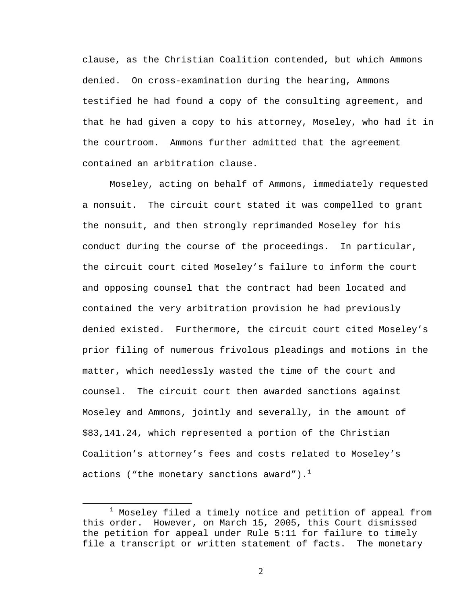clause, as the Christian Coalition contended, but which Ammons denied. On cross-examination during the hearing, Ammons testified he had found a copy of the consulting agreement, and that he had given a copy to his attorney, Moseley, who had it in the courtroom. Ammons further admitted that the agreement contained an arbitration clause.

Moseley, acting on behalf of Ammons, immediately requested a nonsuit. The circuit court stated it was compelled to grant the nonsuit, and then strongly reprimanded Moseley for his conduct during the course of the proceedings. In particular, the circuit court cited Moseley's failure to inform the court and opposing counsel that the contract had been located and contained the very arbitration provision he had previously denied existed. Furthermore, the circuit court cited Moseley's prior filing of numerous frivolous pleadings and motions in the matter, which needlessly wasted the time of the court and counsel. The circuit court then awarded sanctions against Moseley and Ammons, jointly and severally, in the amount of \$83,141.24, which represented a portion of the Christian Coalition's attorney's fees and costs related to Moseley's actions ("the monetary sanctions award"). $<sup>1</sup>$ </sup>

<sup>1</sup>  $1$  Moseley filed a timely notice and petition of appeal from this order. However, on March 15, 2005, this Court dismissed the petition for appeal under Rule 5:11 for failure to timely file a transcript or written statement of facts. The monetary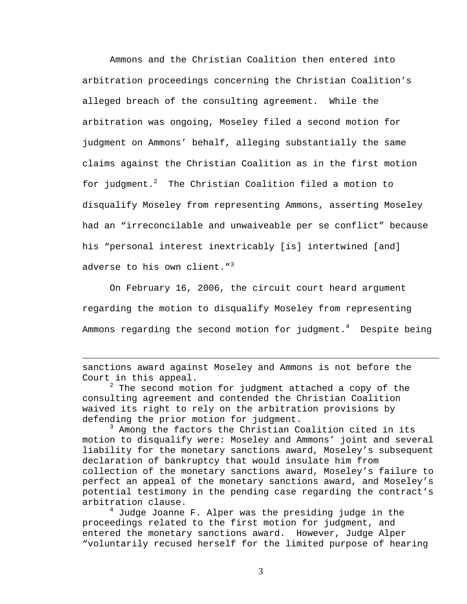Ammons and the Christian Coalition then entered into arbitration proceedings concerning the Christian Coalition's alleged breach of the consulting agreement. While the arbitration was ongoing, Moseley filed a second motion for judgment on Ammons' behalf, alleging substantially the same claims against the Christian Coalition as in the first motion for judgment.<sup>2</sup> The Christian Coalition filed a motion to disqualify Moseley from representing Ammons, asserting Moseley had an "irreconcilable and unwaiveable per se conflict" because his "personal interest inextricably [is] intertwined [and] adverse to his own client."<sup>3</sup>

 On February 16, 2006, the circuit court heard argument regarding the motion to disqualify Moseley from representing Ammons regarding the second motion for judgment. $^4$  Despite being

1

 $2$  The second motion for judgment attached a copy of the consulting agreement and contended the Christian Coalition waived its right to rely on the arbitration provisions by defending the prior motion for judgment.

<sup>3</sup> Among the factors the Christian Coalition cited in its motion to disqualify were: Moseley and Ammons' joint and several liability for the monetary sanctions award, Moseley's subsequent declaration of bankruptcy that would insulate him from collection of the monetary sanctions award, Moseley's failure to perfect an appeal of the monetary sanctions award, and Moseley's potential testimony in the pending case regarding the contract's arbitration clause.

4 Judge Joanne F. Alper was the presiding judge in the proceedings related to the first motion for judgment, and entered the monetary sanctions award. However, Judge Alper "voluntarily recused herself for the limited purpose of hearing

sanctions award against Moseley and Ammons is not before the Court in this appeal.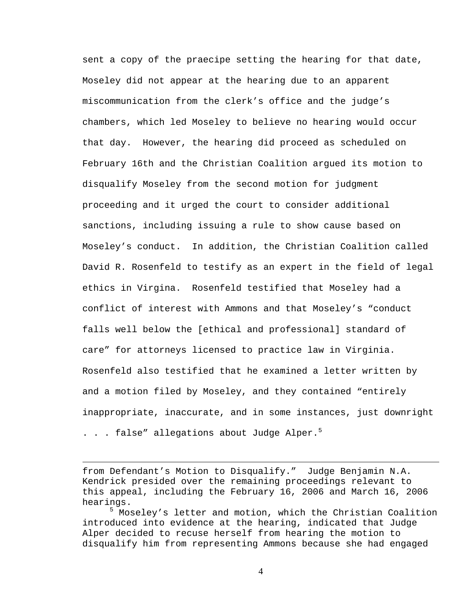sent a copy of the praecipe setting the hearing for that date, Moseley did not appear at the hearing due to an apparent miscommunication from the clerk's office and the judge's chambers, which led Moseley to believe no hearing would occur that day. However, the hearing did proceed as scheduled on February 16th and the Christian Coalition argued its motion to disqualify Moseley from the second motion for judgment proceeding and it urged the court to consider additional sanctions, including issuing a rule to show cause based on Moseley's conduct. In addition, the Christian Coalition called David R. Rosenfeld to testify as an expert in the field of legal ethics in Virgina. Rosenfeld testified that Moseley had a conflict of interest with Ammons and that Moseley's "conduct falls well below the [ethical and professional] standard of care" for attorneys licensed to practice law in Virginia. Rosenfeld also testified that he examined a letter written by and a motion filed by Moseley, and they contained "entirely inappropriate, inaccurate, and in some instances, just downright . . . false" allegations about Judge Alper. $^5$ 

from Defendant's Motion to Disqualify." Judge Benjamin N.A. Kendrick presided over the remaining proceedings relevant to this appeal, including the February 16, 2006 and March 16, 2006 hearings.

1

5 Moseley's letter and motion, which the Christian Coalition introduced into evidence at the hearing, indicated that Judge Alper decided to recuse herself from hearing the motion to disqualify him from representing Ammons because she had engaged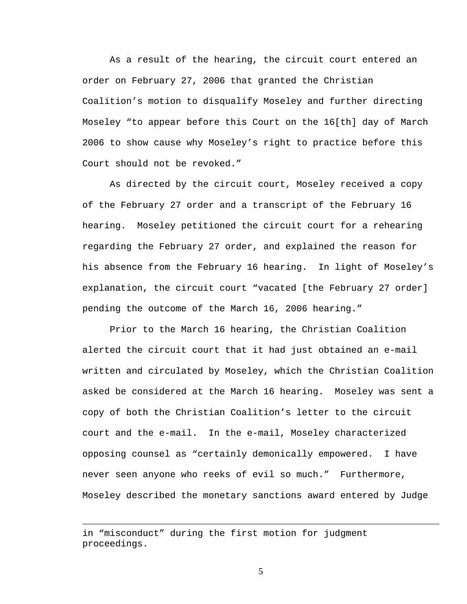As a result of the hearing, the circuit court entered an order on February 27, 2006 that granted the Christian Coalition's motion to disqualify Moseley and further directing Moseley "to appear before this Court on the 16[th] day of March 2006 to show cause why Moseley's right to practice before this Court should not be revoked."

As directed by the circuit court, Moseley received a copy of the February 27 order and a transcript of the February 16 hearing. Moseley petitioned the circuit court for a rehearing regarding the February 27 order, and explained the reason for his absence from the February 16 hearing. In light of Moseley's explanation, the circuit court "vacated [the February 27 order] pending the outcome of the March 16, 2006 hearing."

Prior to the March 16 hearing, the Christian Coalition alerted the circuit court that it had just obtained an e-mail written and circulated by Moseley, which the Christian Coalition asked be considered at the March 16 hearing. Moseley was sent a copy of both the Christian Coalition's letter to the circuit court and the e-mail. In the e-mail, Moseley characterized opposing counsel as "certainly demonically empowered. I have never seen anyone who reeks of evil so much." Furthermore, Moseley described the monetary sanctions award entered by Judge

 $\overline{a}$ 

in "misconduct" during the first motion for judgment proceedings.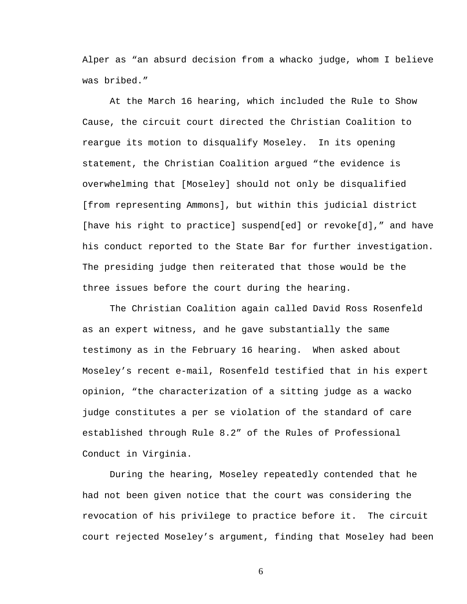Alper as "an absurd decision from a whacko judge, whom I believe was bribed."

At the March 16 hearing, which included the Rule to Show Cause, the circuit court directed the Christian Coalition to reargue its motion to disqualify Moseley. In its opening statement, the Christian Coalition argued "the evidence is overwhelming that [Moseley] should not only be disqualified [from representing Ammons], but within this judicial district [have his right to practice] suspend[ed] or revoke[d]," and have his conduct reported to the State Bar for further investigation. The presiding judge then reiterated that those would be the three issues before the court during the hearing.

The Christian Coalition again called David Ross Rosenfeld as an expert witness, and he gave substantially the same testimony as in the February 16 hearing. When asked about Moseley's recent e-mail, Rosenfeld testified that in his expert opinion, "the characterization of a sitting judge as a wacko judge constitutes a per se violation of the standard of care established through Rule 8.2" of the Rules of Professional Conduct in Virginia.

During the hearing, Moseley repeatedly contended that he had not been given notice that the court was considering the revocation of his privilege to practice before it. The circuit court rejected Moseley's argument, finding that Moseley had been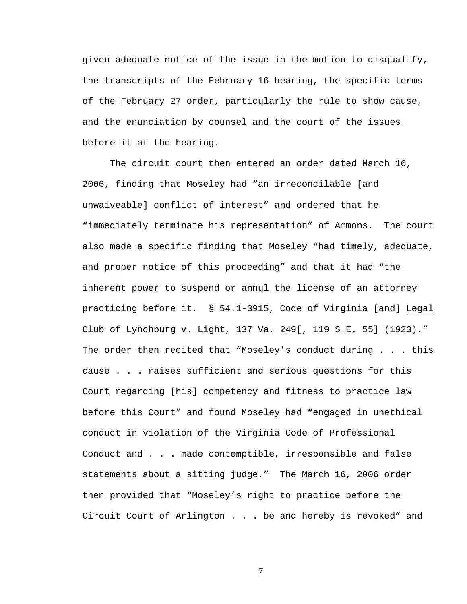given adequate notice of the issue in the motion to disqualify, the transcripts of the February 16 hearing, the specific terms of the February 27 order, particularly the rule to show cause, and the enunciation by counsel and the court of the issues before it at the hearing.

The circuit court then entered an order dated March 16, 2006, finding that Moseley had "an irreconcilable [and unwaiveable] conflict of interest" and ordered that he "immediately terminate his representation" of Ammons. The court also made a specific finding that Moseley "had timely, adequate, and proper notice of this proceeding" and that it had "the inherent power to suspend or annul the license of an attorney practicing before it. § 54.1-3915, Code of Virginia [and] Legal Club of Lynchburg v. Light, 137 Va. 249[, 119 S.E. 55] (1923)." The order then recited that "Moseley's conduct during . . . this cause . . . raises sufficient and serious questions for this Court regarding [his] competency and fitness to practice law before this Court" and found Moseley had "engaged in unethical conduct in violation of the Virginia Code of Professional Conduct and . . . made contemptible, irresponsible and false statements about a sitting judge." The March 16, 2006 order then provided that "Moseley's right to practice before the Circuit Court of Arlington . . . be and hereby is revoked" and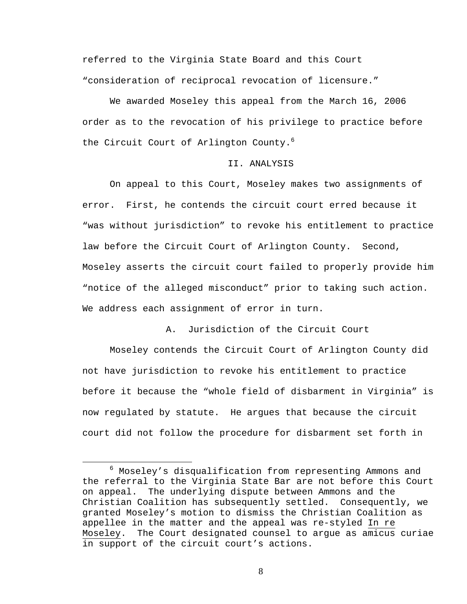referred to the Virginia State Board and this Court "consideration of reciprocal revocation of licensure."

We awarded Moseley this appeal from the March 16, 2006 order as to the revocation of his privilege to practice before the Circuit Court of Arlington County.<sup>6</sup>

## II. ANALYSIS

 On appeal to this Court, Moseley makes two assignments of error. First, he contends the circuit court erred because it "was without jurisdiction" to revoke his entitlement to practice law before the Circuit Court of Arlington County. Second, Moseley asserts the circuit court failed to properly provide him "notice of the alleged misconduct" prior to taking such action. We address each assignment of error in turn.

A. Jurisdiction of the Circuit Court

Moseley contends the Circuit Court of Arlington County did not have jurisdiction to revoke his entitlement to practice before it because the "whole field of disbarment in Virginia" is now regulated by statute. He argues that because the circuit court did not follow the procedure for disbarment set forth in

<sup>6</sup> <sup>6</sup> Moseley's disqualification from representing Ammons and the referral to the Virginia State Bar are not before this Court on appeal. The underlying dispute between Ammons and the Christian Coalition has subsequently settled. Consequently, we granted Moseley's motion to dismiss the Christian Coalition as appellee in the matter and the appeal was re-styled In re Moseley. The Court designated counsel to argue as amicus curiae in support of the circuit court's actions.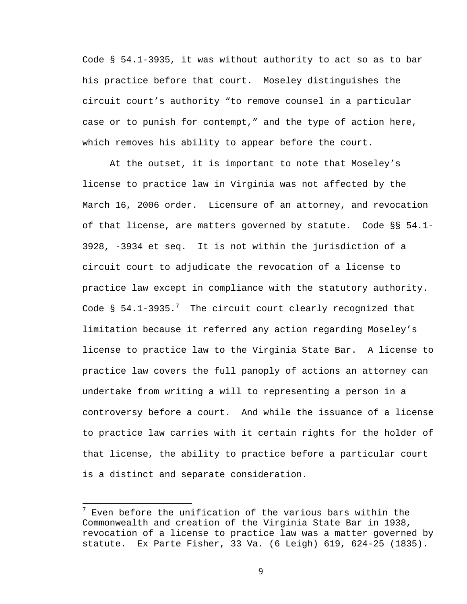Code § 54.1-3935, it was without authority to act so as to bar his practice before that court. Moseley distinguishes the circuit court's authority "to remove counsel in a particular case or to punish for contempt," and the type of action here, which removes his ability to appear before the court.

At the outset, it is important to note that Moseley's license to practice law in Virginia was not affected by the March 16, 2006 order. Licensure of an attorney, and revocation of that license, are matters governed by statute. Code §§ 54.1- 3928, -3934 et seq. It is not within the jurisdiction of a circuit court to adjudicate the revocation of a license to practice law except in compliance with the statutory authority. Code § 54.1-3935. $^7$  The circuit court clearly recognized that limitation because it referred any action regarding Moseley's license to practice law to the Virginia State Bar. A license to practice law covers the full panoply of actions an attorney can undertake from writing a will to representing a person in a controversy before a court. And while the issuance of a license to practice law carries with it certain rights for the holder of that license, the ability to practice before a particular court is a distinct and separate consideration.

 $^7$  Even before the unification of the various bars within the Commonwealth and creation of the Virginia State Bar in 1938, revocation of a license to practice law was a matter governed by statute. Ex Parte Fisher, 33 Va. (6 Leigh) 619, 624-25 (1835).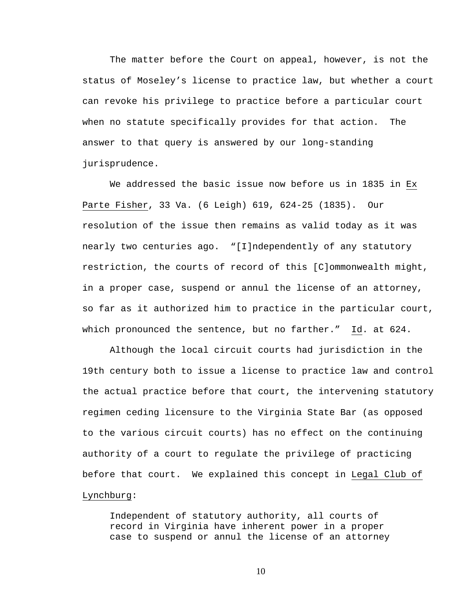The matter before the Court on appeal, however, is not the status of Moseley's license to practice law, but whether a court can revoke his privilege to practice before a particular court when no statute specifically provides for that action. The answer to that query is answered by our long-standing jurisprudence.

We addressed the basic issue now before us in 1835 in Ex Parte Fisher, 33 Va. (6 Leigh) 619, 624-25 (1835). Our resolution of the issue then remains as valid today as it was nearly two centuries ago. "[I]ndependently of any statutory restriction, the courts of record of this [C]ommonwealth might, in a proper case, suspend or annul the license of an attorney, so far as it authorized him to practice in the particular court, which pronounced the sentence, but no farther." Id. at 624.

Although the local circuit courts had jurisdiction in the 19th century both to issue a license to practice law and control the actual practice before that court, the intervening statutory regimen ceding licensure to the Virginia State Bar (as opposed to the various circuit courts) has no effect on the continuing authority of a court to regulate the privilege of practicing before that court. We explained this concept in Legal Club of Lynchburg:

Independent of statutory authority, all courts of record in Virginia have inherent power in a proper case to suspend or annul the license of an attorney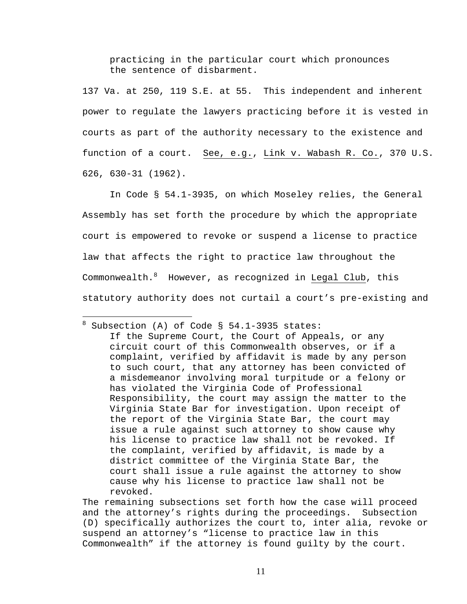practicing in the particular court which pronounces the sentence of disbarment.

137 Va. at 250, 119 S.E. at 55. This independent and inherent power to regulate the lawyers practicing before it is vested in courts as part of the authority necessary to the existence and function of a court. See, e.g., Link v. Wabash R. Co., 370 U.S. 626, 630-31 (1962).

In Code § 54.1-3935, on which Moseley relies, the General Assembly has set forth the procedure by which the appropriate court is empowered to revoke or suspend a license to practice law that affects the right to practice law throughout the Commonwealth. However, as recognized in Legal Club, this statutory authority does not curtail a court's pre-existing and

The remaining subsections set forth how the case will proceed and the attorney's rights during the proceedings. Subsection (D) specifically authorizes the court to, inter alia, revoke or suspend an attorney's "license to practice law in this Commonwealth" if the attorney is found guilty by the court.

 8 Subsection (A) of Code § 54.1-3935 states: If the Supreme Court, the Court of Appeals, or any circuit court of this Commonwealth observes, or if a complaint, verified by affidavit is made by any person to such court, that any attorney has been convicted of a misdemeanor involving moral turpitude or a felony or has violated the Virginia Code of Professional Responsibility, the court may assign the matter to the Virginia State Bar for investigation. Upon receipt of the report of the Virginia State Bar, the court may issue a rule against such attorney to show cause why his license to practice law shall not be revoked. If the complaint, verified by affidavit, is made by a district committee of the Virginia State Bar, the court shall issue a rule against the attorney to show cause why his license to practice law shall not be revoked.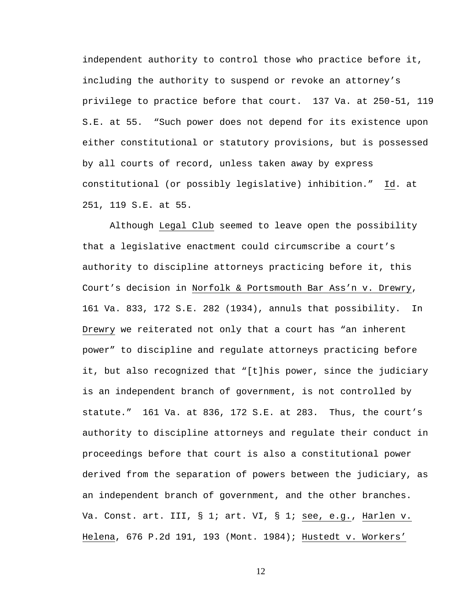independent authority to control those who practice before it, including the authority to suspend or revoke an attorney's privilege to practice before that court. 137 Va. at 250-51, 119 S.E. at 55. "Such power does not depend for its existence upon either constitutional or statutory provisions, but is possessed by all courts of record, unless taken away by express constitutional (or possibly legislative) inhibition." Id. at 251, 119 S.E. at 55.

Although Legal Club seemed to leave open the possibility that a legislative enactment could circumscribe a court's authority to discipline attorneys practicing before it, this Court's decision in Norfolk & Portsmouth Bar Ass'n v. Drewry, 161 Va. 833, 172 S.E. 282 (1934), annuls that possibility. In Drewry we reiterated not only that a court has "an inherent power" to discipline and regulate attorneys practicing before it, but also recognized that "[t]his power, since the judiciary is an independent branch of government, is not controlled by statute." 161 Va. at 836, 172 S.E. at 283. Thus, the court's authority to discipline attorneys and regulate their conduct in proceedings before that court is also a constitutional power derived from the separation of powers between the judiciary, as an independent branch of government, and the other branches. Va. Const. art. III, § 1; art. VI, § 1; see, e.g., Harlen v. Helena, 676 P.2d 191, 193 (Mont. 1984); Hustedt v. Workers'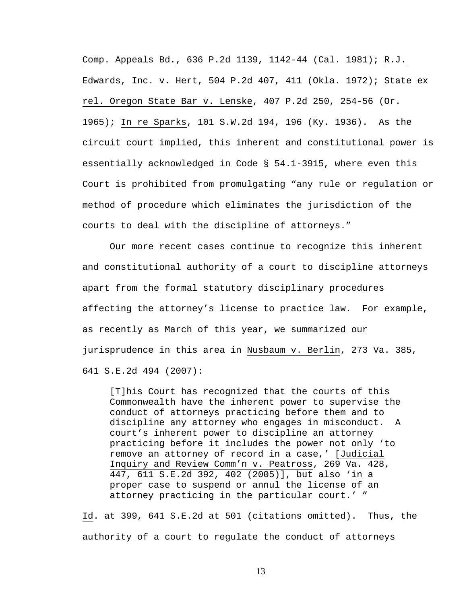Comp. Appeals Bd., 636 P.2d 1139, 1142-44 (Cal. 1981); R.J. Edwards, Inc. v. Hert, 504 P.2d 407, 411 (Okla. 1972); State ex rel. Oregon State Bar v. Lenske, 407 P.2d 250, 254-56 (Or. 1965); In re Sparks, 101 S.W.2d 194, 196 (Ky. 1936). As the circuit court implied, this inherent and constitutional power is essentially acknowledged in Code § 54.1-3915, where even this Court is prohibited from promulgating "any rule or regulation or method of procedure which eliminates the jurisdiction of the courts to deal with the discipline of attorneys."

Our more recent cases continue to recognize this inherent and constitutional authority of a court to discipline attorneys apart from the formal statutory disciplinary procedures affecting the attorney's license to practice law. For example, as recently as March of this year, we summarized our jurisprudence in this area in Nusbaum v. Berlin, 273 Va. 385, 641 S.E.2d 494 (2007):

[T]his Court has recognized that the courts of this Commonwealth have the inherent power to supervise the conduct of attorneys practicing before them and to discipline any attorney who engages in misconduct. A court's inherent power to discipline an attorney practicing before it includes the power not only 'to remove an attorney of record in a case,' [Judicial Inquiry and Review Comm'n v. Peatross, 269 Va. 428, 447, 611 S.E.2d 392, 402 (2005)], but also 'in a proper case to suspend or annul the license of an attorney practicing in the particular court.' "

Id. at 399, 641 S.E.2d at 501 (citations omitted). Thus, the authority of a court to regulate the conduct of attorneys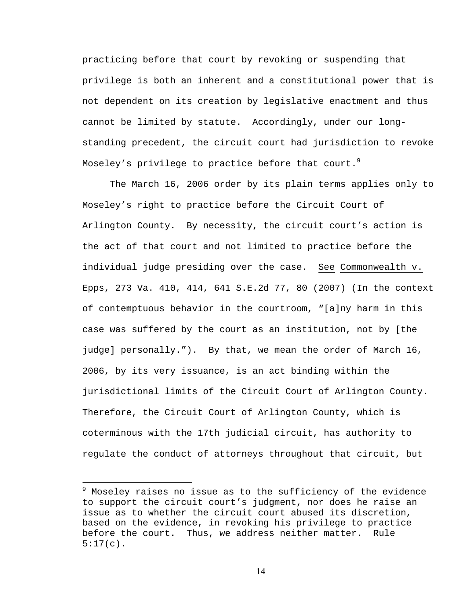practicing before that court by revoking or suspending that privilege is both an inherent and a constitutional power that is not dependent on its creation by legislative enactment and thus cannot be limited by statute. Accordingly, under our longstanding precedent, the circuit court had jurisdiction to revoke Moseley's privilege to practice before that court. $^9$ 

The March 16, 2006 order by its plain terms applies only to Moseley's right to practice before the Circuit Court of Arlington County. By necessity, the circuit court's action is the act of that court and not limited to practice before the individual judge presiding over the case. See Commonwealth v. Epps, 273 Va. 410, 414, 641 S.E.2d 77, 80 (2007) (In the context of contemptuous behavior in the courtroom, "[a]ny harm in this case was suffered by the court as an institution, not by [the judge] personally."). By that, we mean the order of March 16, 2006, by its very issuance, is an act binding within the jurisdictional limits of the Circuit Court of Arlington County. Therefore, the Circuit Court of Arlington County, which is coterminous with the 17th judicial circuit, has authority to regulate the conduct of attorneys throughout that circuit, but

 $\overline{a}$ 

<sup>&</sup>lt;sup>9</sup> Moseley raises no issue as to the sufficiency of the evidence to support the circuit court's judgment, nor does he raise an issue as to whether the circuit court abused its discretion, based on the evidence, in revoking his privilege to practice before the court. Thus, we address neither matter. Rule  $5:17(c)$ .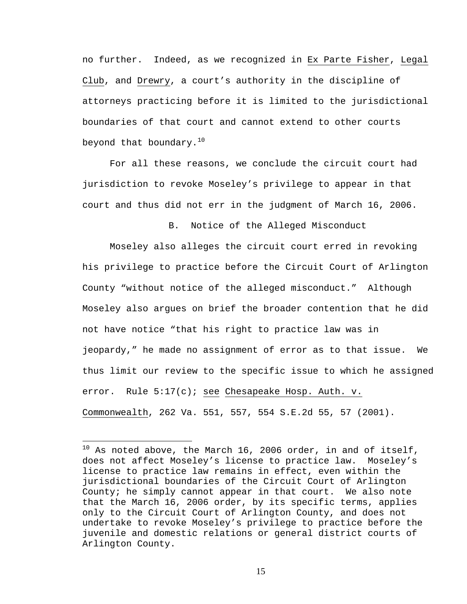no further. Indeed, as we recognized in Ex Parte Fisher, Legal Club, and Drewry, a court's authority in the discipline of attorneys practicing before it is limited to the jurisdictional boundaries of that court and cannot extend to other courts beyond that boundary.<sup>10</sup>

For all these reasons, we conclude the circuit court had jurisdiction to revoke Moseley's privilege to appear in that court and thus did not err in the judgment of March 16, 2006.

B. Notice of the Alleged Misconduct

Moseley also alleges the circuit court erred in revoking his privilege to practice before the Circuit Court of Arlington County "without notice of the alleged misconduct." Although Moseley also argues on brief the broader contention that he did not have notice "that his right to practice law was in jeopardy," he made no assignment of error as to that issue. We thus limit our review to the specific issue to which he assigned error. Rule 5:17(c); see Chesapeake Hosp. Auth. v. Commonwealth, 262 Va. 551, 557, 554 S.E.2d 55, 57 (2001).

 $\overline{a}$ 

 $10$  As noted above, the March 16, 2006 order, in and of itself, does not affect Moseley's license to practice law. Moseley's license to practice law remains in effect, even within the jurisdictional boundaries of the Circuit Court of Arlington County; he simply cannot appear in that court. We also note that the March 16, 2006 order, by its specific terms, applies only to the Circuit Court of Arlington County, and does not undertake to revoke Moseley's privilege to practice before the juvenile and domestic relations or general district courts of Arlington County.